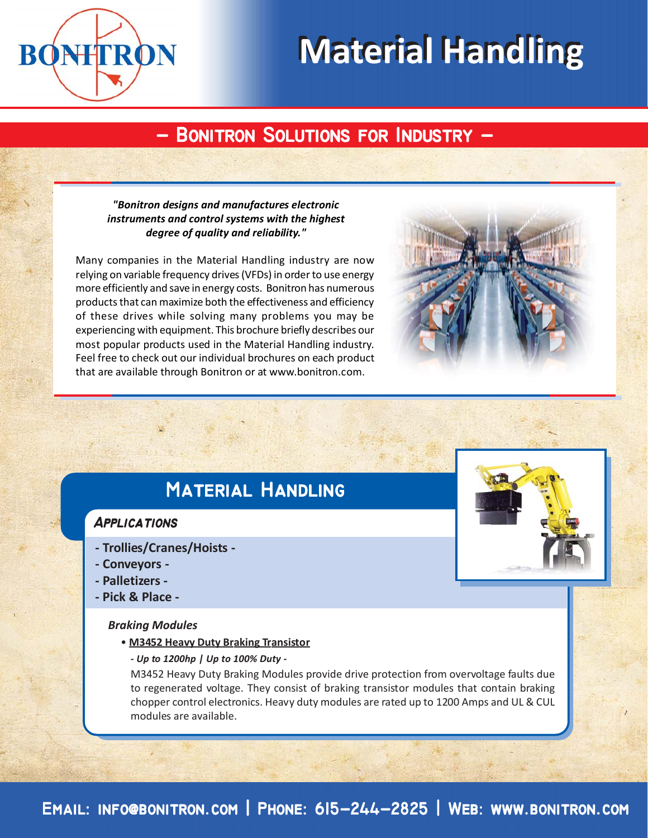

# **Material Handling Material Handling**

## **- Bonitron Solutions for Industry - - Bonitron Solutions for Industry -**

#### *"Bonitron designs and manufactures electronic instruments and control systems with the highest degree of quality and reliability."*

Many companies in the Material Handling industry are now relying on variable frequency drives (VFDs) in order to use energy more efficiently and save in energy costs. Bonitron has numerous products that can maximize both the effectiveness and efficiency of these drives while solving many problems you may be experiencing with equipment. This brochure briefly describes our most popular products used in the Material Handling industry. Feel free to check out our individual brochures on each product that are available through Bonitron or at www.bonitron.com.



## **Material Handling Material**

### **Applications**

- **Trollies/Cranes/Hoists -**
- **Conveyors -**
- **Palletizers -**
- **Pick & Place -**

#### *Braking Modules*

- **M3452 Heavy Duty Braking Transistor**
	- *Up to 1200hp | Up to 100% Duty -*

M3452 Heavy Duty Braking Modules provide drive protection from overvoltage faults due to regenerated voltage. They consist of braking transistor modules that contain braking chopper control electronics. Heavy duty modules are rated up to 1200 Amps and UL & CUL modules are available.